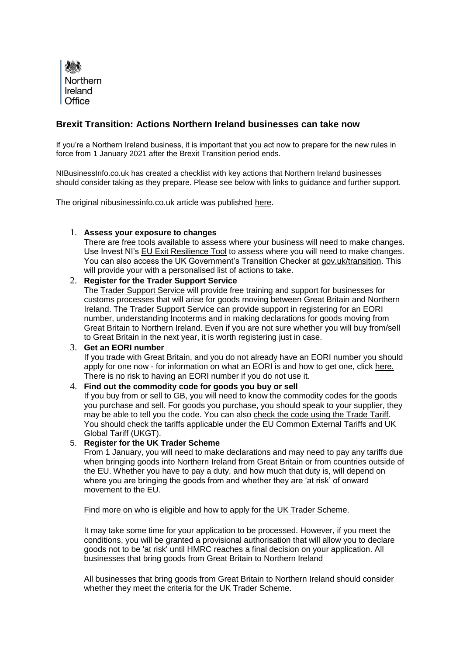

# **Brexit Transition: Actions Northern Ireland businesses can take now**

If you're a Northern Ireland business, it is important that you act now to prepare for the new rules in force from 1 January 2021 after the Brexit Transition period ends.

NIBusinessInfo.co.uk has created a checklist with key actions that Northern Ireland businesses should consider taking as they prepare. Please see below with links to guidance and further support.

The original nibusinessinfo.co.uk article was publishe[d](https://www.nibusinessinfo.co.uk/content/eu-exit-readiness-checklist-10-steps-take) [here.](https://www.nibusinessinfo.co.uk/content/eu-exit-readiness-checklist-10-steps-take)

#### 1. **Assess your exposure to changes**

There are free tools available to assess where your business will need to make changes. Use Invest NI'[s](https://www.investni.com/prepare-for-eu-exit/eu-exit-resilience-tool) [EU Exit Resilience Tool](https://www.investni.com/prepare-for-eu-exit/eu-exit-resilience-tool) to assess where you will need to make changes. You can also access [t](http://www.gov.uk/transition)he UK Government's Transition Checker at [gov.uk/transition.](http://www.gov.uk/transition) This will provide your with a personalised list of actions to take.

#### 2. **Register for the Trader Support Service**

Th[e](https://www.gov.uk/guidance/trader-support-service) [Trader Support Service](https://www.gov.uk/guidance/trader-support-service) will provide free training and support for businesses for customs processes that will arise for goods moving between Great Britain and Northern Ireland. The Trader Support Service can provide support in registering for an EORI number, understanding Incoterms and in making declarations for goods moving from Great Britain to Northern Ireland. Even if you are not sure whether you will buy from/sell to Great Britain in the next year, it is worth registering just in case.

#### 3. **Get an EORI number**

If you trade with Great Britain, and you do not already have an EORI number you should apply for one now - for information on what an EORI is and how to get one, clic[k](https://www.nibusinessinfo.co.uk/content/get-eori-number) [here.](https://www.nibusinessinfo.co.uk/content/get-eori-number) There is no risk to having an EORI number if you do not use it.

#### 4. **Find out the commodity code for goods you buy or sell**

If you buy from or sell to GB, you will need to know the commodity codes for the goods you purchase and sell. For goods you purchase, you should speak to your supplier, they may be able to tell you the code. You can also [check the code using the Trade Tariff.](https://www.gov.uk/trade-tariff) You should check the tariffs applicable under the EU Common External Tariffs and UK Global Tariff (UKGT).

# 5. **Register for the UK Trader Scheme**

From 1 January, you will need to make declarations and may need to pay any tariffs due when bringing goods into Northern Ireland from Great Britain or from countries outside of the EU. Whether you have to pay a duty, and how much that duty is, will depend on where you are bringing the goods from and whether they are 'at risk' of onward movement to the EU.

## [Find more on who is eligible and how to apply for the UK Trader Scheme.](https://www.gov.uk/guidance/apply-for-authorisation-for-the-uk-trader-scheme-if-you-bring-goods-into-northern-ireland-from-1-january-2021)

It may take some time for your application to be processed. However, if you meet the conditions, you will be granted a provisional authorisation that will allow you to declare goods not to be 'at risk' until HMRC reaches a final decision on your application. All businesses that bring goods from Great Britain to Northern Ireland

All businesses that bring goods from Great Britain to Northern Ireland should consider whether they meet the criteria for the UK Trader Scheme.